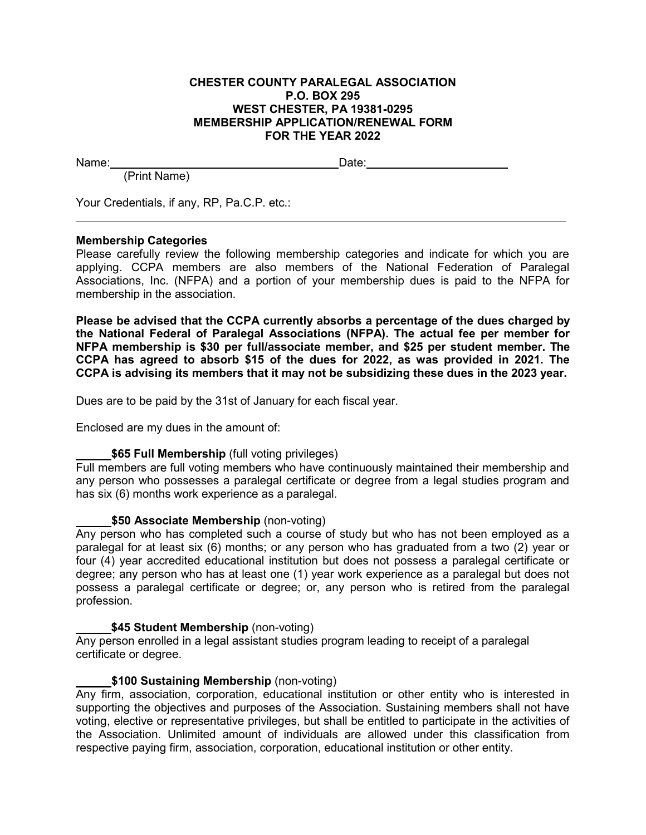#### **CHESTER COUNTY PARALEGAL ASSOCIATION P.O. BOX 295 WEST CHESTER, PA 19381-0295 MEMBERSHIP APPLICATION/RENEWAL FORM FOR THE YEAR 2022**

Name: **Name: Name: Name: Date: Date: Date: Date: Date: Date: Date: Date: Date: Date: Date: Date: Date: Date: Date: Date: Date: Date: Date: Date: Date: Date: Date: Date:**

(Print Name)

Your Credentials, if any, RP, Pa.C.P. etc.:

# **Membership Categories**

Please carefully review the following membership categories and indicate for which you are applying. CCPA members are also members of the National Federation of Paralegal Associations, Inc. (NFPA) and a portion of your membership dues is paid to the NFPA for membership in the association.

**Please be advised that the CCPA currently absorbs a percentage of the dues charged by the National Federal of Paralegal Associations (NFPA). The actual fee per member for NFPA membership is \$30 per full/associate member, and \$25 per student member. The CCPA has agreed to absorb \$15 of the dues for 2022, as was provided in 2021. The CCPA is advising its members that it may not be subsidizing these dues in the 2023 year.**

Dues are to be paid by the 31st of January for each fiscal year.

Enclosed are my dues in the amount of:

## **\$65 Full Membership** (full voting privileges)

Full members are full voting members who have continuously maintained their membership and any person who possesses a paralegal certificate or degree from a legal studies program and has six (6) months work experience as a paralegal.

## **\$50 Associate Membership** (non-voting)

Any person who has completed such a course of study but who has not been employed as a paralegal for at least six (6) months; or any person who has graduated from a two (2) year or four (4) year accredited educational institution but does not possess a paralegal certificate or degree; any person who has at least one (1) year work experience as a paralegal but does not possess a paralegal certificate or degree; or, any person who is retired from the paralegal profession.

## **\$45 Student Membership** (non-voting)

Any person enrolled in a legal assistant studies program leading to receipt of a paralegal certificate or degree.

## **\$100 Sustaining Membership** (non-voting)

Any firm, association, corporation, educational institution or other entity who is interested in supporting the objectives and purposes of the Association. Sustaining members shall not have voting, elective or representative privileges, but shall be entitled to participate in the activities of the Association. Unlimited amount of individuals are allowed under this classification from respective paying firm, association, corporation, educational institution or other entity.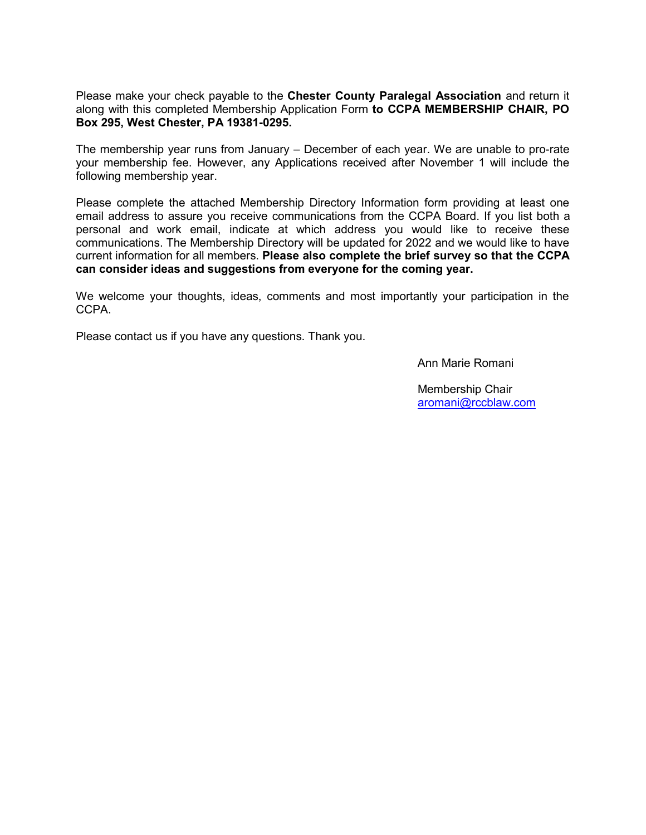Please make your check payable to the **Chester County Paralegal Association** and return it along with this completed Membership Application Form **to CCPA MEMBERSHIP CHAIR, PO Box 295, West Chester, PA 19381-0295.**

The membership year runs from January – December of each year. We are unable to pro-rate your membership fee. However, any Applications received after November 1 will include the following membership year.

Please complete the attached Membership Directory Information form providing at least one email address to assure you receive communications from the CCPA Board. If you list both a personal and work email, indicate at which address you would like to receive these communications. The Membership Directory will be updated for 2022 and we would like to have current information for all members. **Please also complete the brief survey so that the CCPA can consider ideas and suggestions from everyone for the coming year.**

We welcome your thoughts, ideas, comments and most importantly your participation in the CCPA.

Please contact us if you have any questions. Thank you.

Ann Marie Romani

Membership Chair [aromani@rccblaw.com](mailto:aromani@rccblaw.com)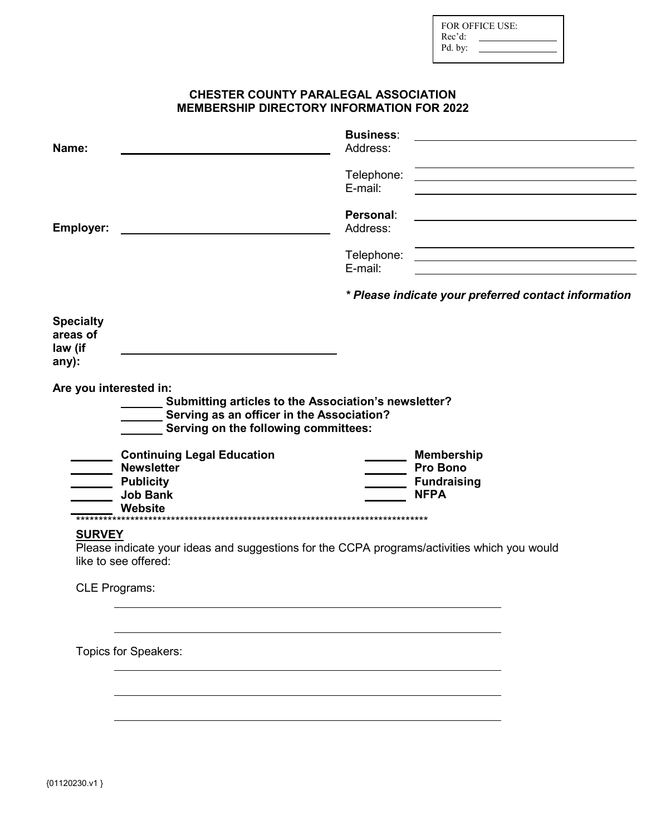| <b>FOR OFFICE USE:</b> |  |  |  |  |
|------------------------|--|--|--|--|
| Rec'd:                 |  |  |  |  |
| Pd. by:                |  |  |  |  |

## CHESTER COUNTY PARALEGAL ASSOCIATION **MEMBERSHIP DIRECTORY INFORMATION FOR 2022**

| Name:                                            |                                                                                                                                                    | <b>Business:</b><br>Address: |                                      |                                                                     |
|--------------------------------------------------|----------------------------------------------------------------------------------------------------------------------------------------------------|------------------------------|--------------------------------------|---------------------------------------------------------------------|
|                                                  |                                                                                                                                                    | Telephone:<br>E-mail:        |                                      | <u> 1989 - Johann Barn, amerikansk politiker (d. 1989)</u>          |
| <b>Employer:</b>                                 |                                                                                                                                                    | Personal:<br>Address:        |                                      |                                                                     |
|                                                  |                                                                                                                                                    | Telephone:<br>E-mail:        |                                      | <u> 1989 - Johann Stein, mars an deus Amerikaansk kommunister (</u> |
|                                                  |                                                                                                                                                    |                              |                                      | * Please indicate your preferred contact information                |
| <b>Specialty</b><br>areas of<br>law (if<br>any): |                                                                                                                                                    |                              |                                      |                                                                     |
| Are you interested in:                           | ________ Submitting articles to the Association's newsletter?<br>Serving as an officer in the Association?<br>Serving on the following committees: |                              |                                      |                                                                     |
|                                                  | <b>Continuing Legal Education</b><br><b>Newsletter</b>                                                                                             |                              | <b>Membership</b><br><b>Pro Bono</b> |                                                                     |
|                                                  | <b>Publicity</b><br><b>Job Bank</b><br>Website                                                                                                     |                              | <b>Fundraising</b><br><b>NFPA</b>    |                                                                     |
| <b>SURVEY</b>                                    | Please indicate your ideas and suggestions for the CCPA programs/activities which you would<br>like to see offered:                                |                              |                                      |                                                                     |
| <b>CLE Programs:</b>                             |                                                                                                                                                    |                              |                                      |                                                                     |
|                                                  | Topics for Speakers:                                                                                                                               |                              |                                      |                                                                     |
|                                                  |                                                                                                                                                    |                              |                                      |                                                                     |
|                                                  |                                                                                                                                                    |                              |                                      |                                                                     |